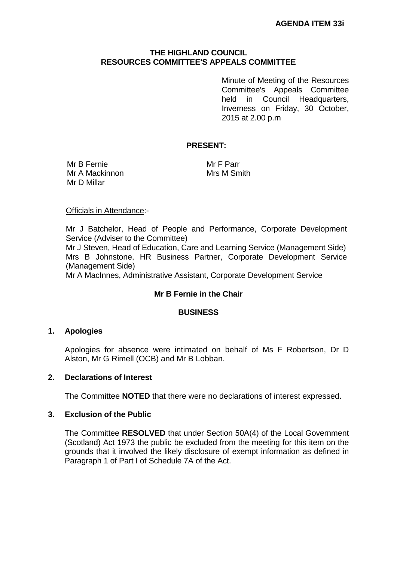# **THE HIGHLAND COUNCIL RESOURCES COMMITTEE'S APPEALS COMMITTEE**

Minute of Meeting of the Resources Committee's Appeals Committee held in Council Headquarters, Inverness on Friday, 30 October, 2015 at 2.00 p.m

## **PRESENT:**

Mr B Fernie Mr A Mackinnon Mr D Millar

Mr F Parr Mrs M Smith

#### Officials in Attendance:-

Mr J Batchelor, Head of People and Performance, Corporate Development Service (Adviser to the Committee)

Mr J Steven, Head of Education, Care and Learning Service (Management Side) Mrs B Johnstone, HR Business Partner, Corporate Development Service (Management Side)

Mr A MacInnes, Administrative Assistant, Corporate Development Service

### **Mr B Fernie in the Chair**

### **BUSINESS**

### **1. Apologies**

Apologies for absence were intimated on behalf of Ms F Robertson, Dr D Alston, Mr G Rimell (OCB) and Mr B Lobban.

### **2. Declarations of Interest**

The Committee **NOTED** that there were no declarations of interest expressed.

### **3. Exclusion of the Public**

The Committee **RESOLVED** that under Section 50A(4) of the Local Government (Scotland) Act 1973 the public be excluded from the meeting for this item on the grounds that it involved the likely disclosure of exempt information as defined in Paragraph 1 of Part I of Schedule 7A of the Act.